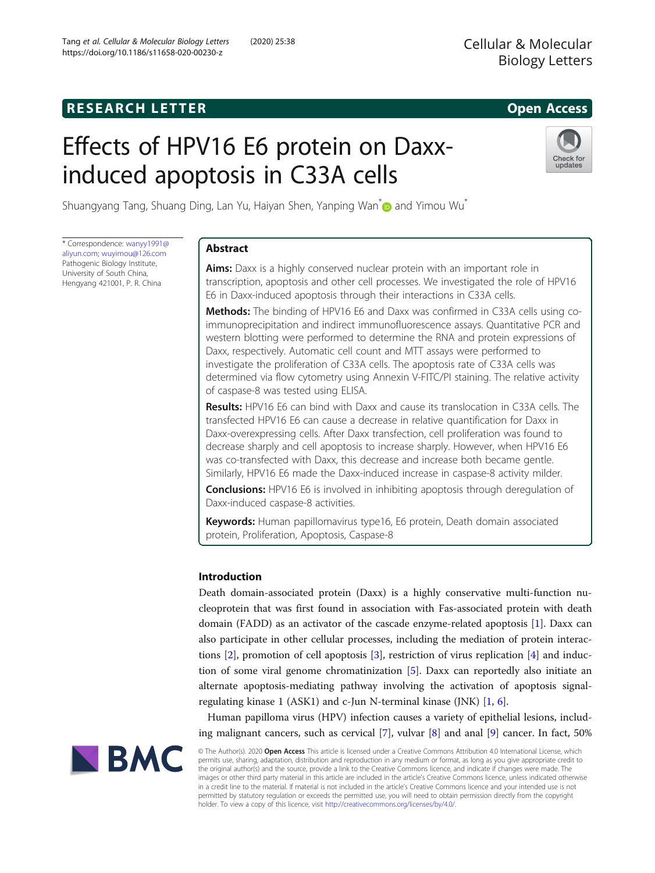# **RESEARCH LETTER CHIPS AND EXAMPLE A** CHIPS AND THE SERIES OPEN ACCESS

# Effects of HPV16 E6 protein on Daxxinduced apoptosis in C33A cells



Shuangyang Tang, Shuang Ding, Lan Yu, Haiyan Shen, Yanping Wan **and Yimou Wu**[\\*](http://orcid.org/0000-0001-9261-3864)

\* Correspondence: [wanyy1991@](mailto:wanyy1991@aliyun.com) [aliyun.com](mailto:wanyy1991@aliyun.com); [wuyimou@126.com](mailto:wuyimou@126.com) Pathogenic Biology Institute, University of South China, Hengyang 421001, P. R. China

# Abstract

Aims: Daxx is a highly conserved nuclear protein with an important role in transcription, apoptosis and other cell processes. We investigated the role of HPV16 E6 in Daxx-induced apoptosis through their interactions in C33A cells.

Methods: The binding of HPV16 E6 and Daxx was confirmed in C33A cells using coimmunoprecipitation and indirect immunofluorescence assays. Quantitative PCR and western blotting were performed to determine the RNA and protein expressions of Daxx, respectively. Automatic cell count and MTT assays were performed to investigate the proliferation of C33A cells. The apoptosis rate of C33A cells was determined via flow cytometry using Annexin V-FITC/PI staining. The relative activity of caspase-8 was tested using ELISA.

Results: HPV16 E6 can bind with Daxx and cause its translocation in C33A cells. The transfected HPV16 E6 can cause a decrease in relative quantification for Daxx in Daxx-overexpressing cells. After Daxx transfection, cell proliferation was found to decrease sharply and cell apoptosis to increase sharply. However, when HPV16 E6 was co-transfected with Daxx, this decrease and increase both became gentle. Similarly, HPV16 E6 made the Daxx-induced increase in caspase-8 activity milder.

**Conclusions:** HPV16 E6 is involved in inhibiting apoptosis through deregulation of Daxx-induced caspase-8 activities.

Keywords: Human papillomavirus type16, E6 protein, Death domain associated protein, Proliferation, Apoptosis, Caspase-8

# Introduction

Death domain-associated protein (Daxx) is a highly conservative multi-function nucleoprotein that was first found in association with Fas-associated protein with death domain (FADD) as an activator of the cascade enzyme-related apoptosis [\[1](#page-9-0)]. Daxx can also participate in other cellular processes, including the mediation of protein interactions [\[2](#page-9-0)], promotion of cell apoptosis [\[3](#page-9-0)], restriction of virus replication [[4\]](#page-9-0) and induction of some viral genome chromatinization [\[5](#page-9-0)]. Daxx can reportedly also initiate an alternate apoptosis-mediating pathway involving the activation of apoptosis signalregulating kinase 1 (ASK1) and c-Jun N-terminal kinase (JNK) [\[1](#page-9-0), [6](#page-9-0)].

Human papilloma virus (HPV) infection causes a variety of epithelial lesions, including malignant cancers, such as cervical  $[7]$  $[7]$ , vulvar  $[8]$  $[8]$  and anal  $[9]$  $[9]$  cancer. In fact, 50%



© The Author(s). 2020 Open Access This article is licensed under a Creative Commons Attribution 4.0 International License, which permits use, sharing, adaptation, distribution and reproduction in any medium or format, as long as you give appropriate credit to the original author(s) and the source, provide a link to the Creative Commons licence, and indicate if changes were made. The images or other third party material in this article are included in the article's Creative Commons licence, unless indicated otherwise in a credit line to the material. If material is not included in the article's Creative Commons licence and your intended use is not permitted by statutory regulation or exceeds the permitted use, you will need to obtain permission directly from the copyright holder. To view a copy of this licence, visit [http://creativecommons.org/licenses/by/4.0/.](http://creativecommons.org/licenses/by/4.0/)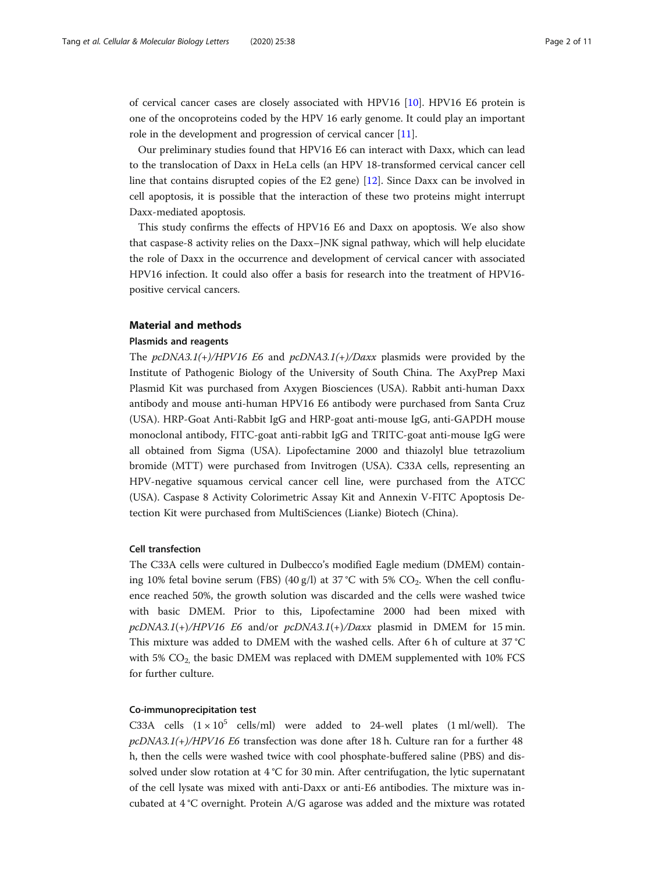of cervical cancer cases are closely associated with HPV16 [[10\]](#page-10-0). HPV16 E6 protein is one of the oncoproteins coded by the HPV 16 early genome. It could play an important role in the development and progression of cervical cancer [\[11](#page-10-0)].

Our preliminary studies found that HPV16 E6 can interact with Daxx, which can lead to the translocation of Daxx in HeLa cells (an HPV 18-transformed cervical cancer cell line that contains disrupted copies of the E2 gene) [[12](#page-10-0)]. Since Daxx can be involved in cell apoptosis, it is possible that the interaction of these two proteins might interrupt Daxx-mediated apoptosis.

This study confirms the effects of HPV16 E6 and Daxx on apoptosis. We also show that caspase-8 activity relies on the Daxx–JNK signal pathway, which will help elucidate the role of Daxx in the occurrence and development of cervical cancer with associated HPV16 infection. It could also offer a basis for research into the treatment of HPV16 positive cervical cancers.

#### Material and methods

# Plasmids and reagents

The pcDNA3.1(+)/HPV16 E6 and pcDNA3.1(+)/Daxx plasmids were provided by the Institute of Pathogenic Biology of the University of South China. The AxyPrep Maxi Plasmid Kit was purchased from Axygen Biosciences (USA). Rabbit anti-human Daxx antibody and mouse anti-human HPV16 E6 antibody were purchased from Santa Cruz (USA). HRP-Goat Anti-Rabbit IgG and HRP-goat anti-mouse IgG, anti-GAPDH mouse monoclonal antibody, FITC-goat anti-rabbit IgG and TRITC-goat anti-mouse IgG were all obtained from Sigma (USA). Lipofectamine 2000 and thiazolyl blue tetrazolium bromide (MTT) were purchased from Invitrogen (USA). C33A cells, representing an HPV-negative squamous cervical cancer cell line, were purchased from the ATCC (USA). Caspase 8 Activity Colorimetric Assay Kit and Annexin V-FITC Apoptosis Detection Kit were purchased from MultiSciences (Lianke) Biotech (China).

# Cell transfection

The C33A cells were cultured in Dulbecco's modified Eagle medium (DMEM) containing 10% fetal bovine serum (FBS) (40 g/l) at 37 °C with 5%  $CO<sub>2</sub>$ . When the cell confluence reached 50%, the growth solution was discarded and the cells were washed twice with basic DMEM. Prior to this, Lipofectamine 2000 had been mixed with  $pcDNA3.1(+)/HPV16$  E6 and/or  $pcDNA3.1(+)/Daxx$  plasmid in DMEM for 15 min. This mixture was added to DMEM with the washed cells. After 6 h of culture at 37 °C with  $5\%$  CO<sub>2</sub>, the basic DMEM was replaced with DMEM supplemented with 10% FCS for further culture.

#### Co-immunoprecipitation test

C33A cells  $(1 \times 10^5$  cells/ml) were added to 24-well plates  $(1 \text{ ml/well})$ . The  $pcDNA3.1(+)/HPV16$  E6 transfection was done after 18 h. Culture ran for a further 48 h, then the cells were washed twice with cool phosphate-buffered saline (PBS) and dissolved under slow rotation at  $4^{\circ}$ C for 30 min. After centrifugation, the lytic supernatant of the cell lysate was mixed with anti-Daxx or anti-E6 antibodies. The mixture was incubated at 4 °C overnight. Protein A/G agarose was added and the mixture was rotated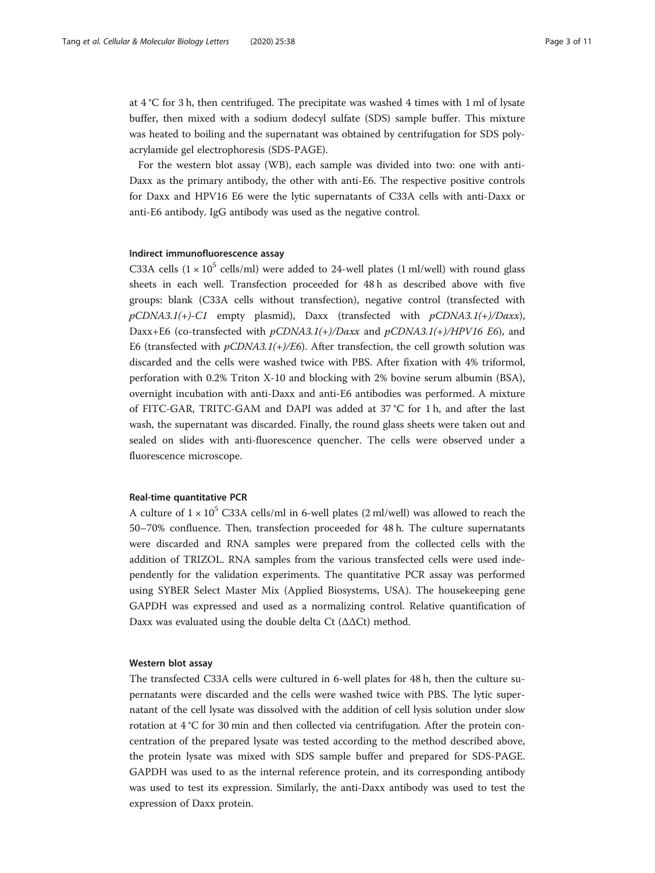at 4 °C for 3 h, then centrifuged. The precipitate was washed 4 times with 1 ml of lysate buffer, then mixed with a sodium dodecyl sulfate (SDS) sample buffer. This mixture was heated to boiling and the supernatant was obtained by centrifugation for SDS polyacrylamide gel electrophoresis (SDS-PAGE).

For the western blot assay (WB), each sample was divided into two: one with anti-Daxx as the primary antibody, the other with anti-E6. The respective positive controls for Daxx and HPV16 E6 were the lytic supernatants of C33A cells with anti-Daxx or anti-E6 antibody. IgG antibody was used as the negative control.

# Indirect immunofluorescence assay

C33A cells  $(1 \times 10^5 \text{ cells/ml})$  were added to 24-well plates (1 ml/well) with round glass sheets in each well. Transfection proceeded for 48 h as described above with five groups: blank (C33A cells without transfection), negative control (transfected with  $pCDNA3.1(+)$ -C1 empty plasmid), Daxx (transfected with  $pCDNA3.1(+)$ /Daxx), Daxx+E6 (co-transfected with  $pCDNA3.1(+)/Daxx$  and  $pCDNA3.1(+)/HPV16 E6$ ), and E6 (transfected with  $pCDNA3.1(+)/E6$ ). After transfection, the cell growth solution was discarded and the cells were washed twice with PBS. After fixation with 4% triformol, perforation with 0.2% Triton X-10 and blocking with 2% bovine serum albumin (BSA), overnight incubation with anti-Daxx and anti-E6 antibodies was performed. A mixture of FITC-GAR, TRITC-GAM and DAPI was added at 37 °C for 1 h, and after the last wash, the supernatant was discarded. Finally, the round glass sheets were taken out and sealed on slides with anti-fluorescence quencher. The cells were observed under a fluorescence microscope.

# Real-time quantitative PCR

A culture of  $1 \times 10^5$  C33A cells/ml in 6-well plates (2 ml/well) was allowed to reach the 50–70% confluence. Then, transfection proceeded for 48 h. The culture supernatants were discarded and RNA samples were prepared from the collected cells with the addition of TRIZOL. RNA samples from the various transfected cells were used independently for the validation experiments. The quantitative PCR assay was performed using SYBER Select Master Mix (Applied Biosystems, USA). The housekeeping gene GAPDH was expressed and used as a normalizing control. Relative quantification of Daxx was evaluated using the double delta Ct  $(\Delta \Delta Ct)$  method.

# Western blot assay

The transfected C33A cells were cultured in 6-well plates for 48 h, then the culture supernatants were discarded and the cells were washed twice with PBS. The lytic supernatant of the cell lysate was dissolved with the addition of cell lysis solution under slow rotation at 4 °C for 30 min and then collected via centrifugation. After the protein concentration of the prepared lysate was tested according to the method described above, the protein lysate was mixed with SDS sample buffer and prepared for SDS-PAGE. GAPDH was used to as the internal reference protein, and its corresponding antibody was used to test its expression. Similarly, the anti-Daxx antibody was used to test the expression of Daxx protein.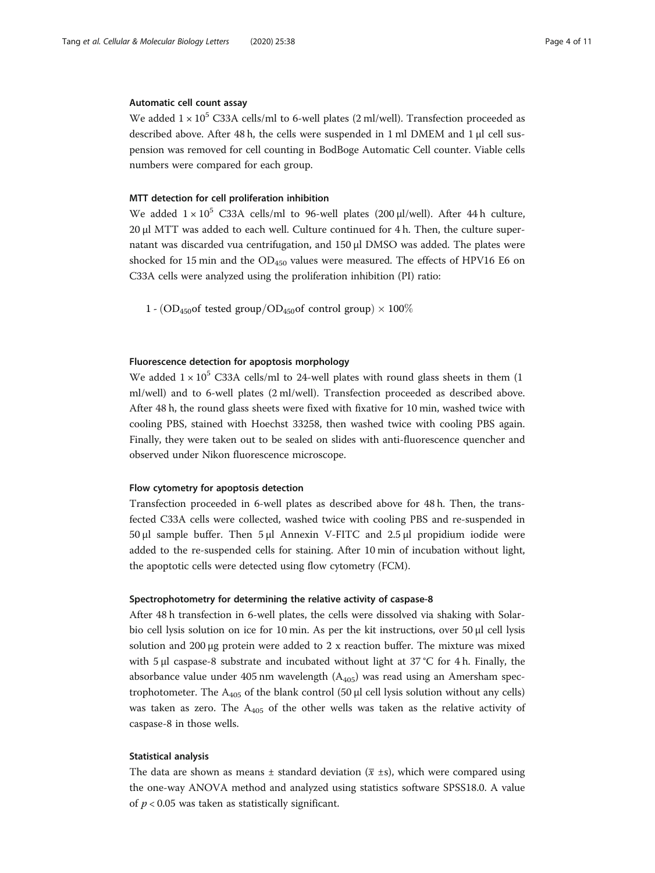# Automatic cell count assay

We added  $1 \times 10^5$  C33A cells/ml to 6-well plates (2 ml/well). Transfection proceeded as described above. After 48 h, the cells were suspended in 1 ml DMEM and 1 μl cell suspension was removed for cell counting in BodBoge Automatic Cell counter. Viable cells numbers were compared for each group.

## MTT detection for cell proliferation inhibition

We added  $1 \times 10^5$  C33A cells/ml to 96-well plates (200 μl/well). After 44 h culture, 20 μl MTT was added to each well. Culture continued for 4 h. Then, the culture supernatant was discarded vua centrifugation, and 150 μl DMSO was added. The plates were shocked for 15 min and the  $OD<sub>450</sub>$  values were measured. The effects of HPV16 E6 on C33A cells were analyzed using the proliferation inhibition (PI) ratio:

 $1 - (OD_{450}$ of tested group/ $OD_{450}$ of control group) × 100%

# Fluorescence detection for apoptosis morphology

We added  $1 \times 10^5$  C33A cells/ml to 24-well plates with round glass sheets in them (1) ml/well) and to 6-well plates (2 ml/well). Transfection proceeded as described above. After 48 h, the round glass sheets were fixed with fixative for 10 min, washed twice with cooling PBS, stained with Hoechst 33258, then washed twice with cooling PBS again. Finally, they were taken out to be sealed on slides with anti-fluorescence quencher and observed under Nikon fluorescence microscope.

#### Flow cytometry for apoptosis detection

Transfection proceeded in 6-well plates as described above for 48 h. Then, the transfected C33A cells were collected, washed twice with cooling PBS and re-suspended in 50 μl sample buffer. Then 5 μl Annexin V-FITC and 2.5 μl propidium iodide were added to the re-suspended cells for staining. After 10 min of incubation without light, the apoptotic cells were detected using flow cytometry (FCM).

# Spectrophotometry for determining the relative activity of caspase-8

After 48 h transfection in 6-well plates, the cells were dissolved via shaking with Solarbio cell lysis solution on ice for 10 min. As per the kit instructions, over 50 μl cell lysis solution and 200 μg protein were added to 2 x reaction buffer. The mixture was mixed with 5 μl caspase-8 substrate and incubated without light at 37 °C for 4 h. Finally, the absorbance value under 405 nm wavelength  $(A_{405})$  was read using an Amersham spectrophotometer. The  $A_{405}$  of the blank control (50 µl cell lysis solution without any cells) was taken as zero. The  $A_{405}$  of the other wells was taken as the relative activity of caspase-8 in those wells.

#### Statistical analysis

The data are shown as means  $\pm$  standard deviation ( $\overline{x}$   $\pm$ s), which were compared using the one-way ANOVA method and analyzed using statistics software SPSS18.0. A value of  $p < 0.05$  was taken as statistically significant.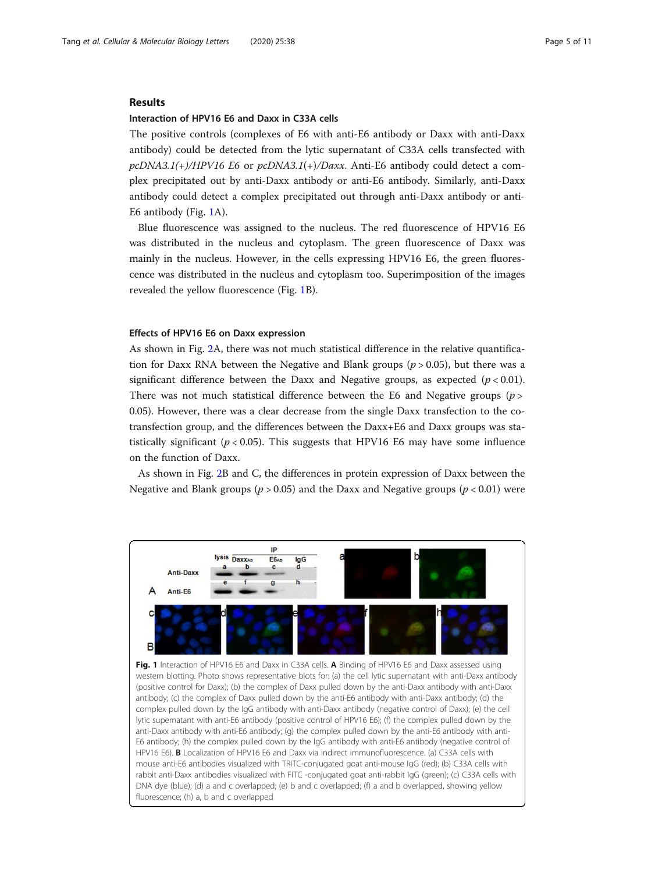#### Results

#### Interaction of HPV16 E6 and Daxx in C33A cells

The positive controls (complexes of E6 with anti-E6 antibody or Daxx with anti-Daxx antibody) could be detected from the lytic supernatant of C33A cells transfected with  $pcDNA3.1(+)/HPV16$  E6 or  $pcDNA3.1(+)/Daxx$ . Anti-E6 antibody could detect a complex precipitated out by anti-Daxx antibody or anti-E6 antibody. Similarly, anti-Daxx antibody could detect a complex precipitated out through anti-Daxx antibody or anti-E6 antibody (Fig. 1A).

Blue fluorescence was assigned to the nucleus. The red fluorescence of HPV16 E6 was distributed in the nucleus and cytoplasm. The green fluorescence of Daxx was mainly in the nucleus. However, in the cells expressing HPV16 E6, the green fluorescence was distributed in the nucleus and cytoplasm too. Superimposition of the images revealed the yellow fluorescence (Fig. 1B).

## Effects of HPV16 E6 on Daxx expression

fluorescence; (h) a, b and c overlapped

As shown in Fig. [2A](#page-5-0), there was not much statistical difference in the relative quantification for Daxx RNA between the Negative and Blank groups ( $p > 0.05$ ), but there was a significant difference between the Daxx and Negative groups, as expected  $(p < 0.01)$ . There was not much statistical difference between the E6 and Negative groups  $(p >$ 0.05). However, there was a clear decrease from the single Daxx transfection to the cotransfection group, and the differences between the Daxx+E6 and Daxx groups was statistically significant ( $p < 0.05$ ). This suggests that HPV16 E6 may have some influence on the function of Daxx.

As shown in Fig. [2](#page-5-0)B and C, the differences in protein expression of Daxx between the Negative and Blank groups ( $p > 0.05$ ) and the Daxx and Negative groups ( $p < 0.01$ ) were

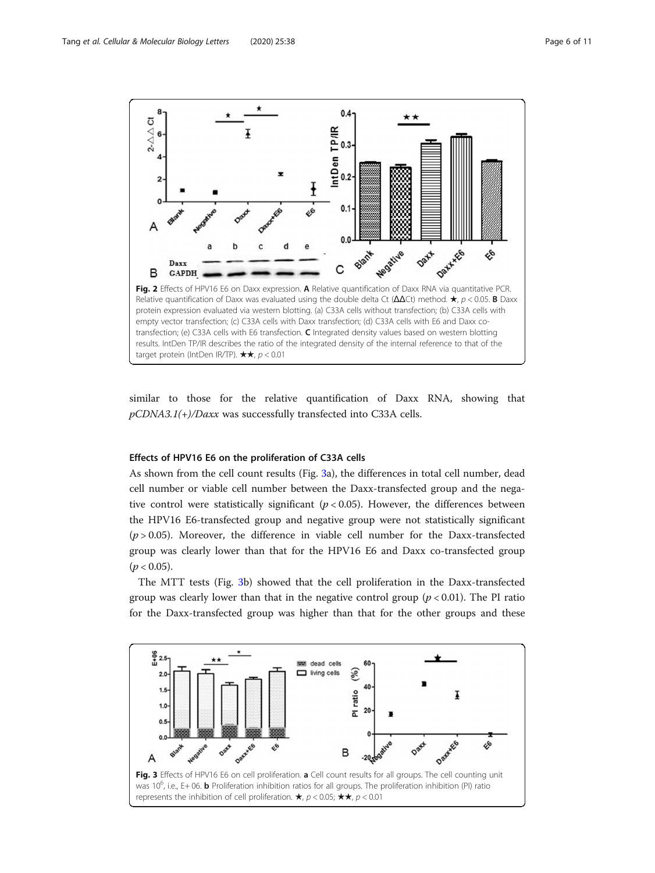<span id="page-5-0"></span>

similar to those for the relative quantification of Daxx RNA, showing that  $pCDNA3.1(+)$ /Daxx was successfully transfected into C33A cells.

#### Effects of HPV16 E6 on the proliferation of C33A cells

As shown from the cell count results (Fig. 3a), the differences in total cell number, dead cell number or viable cell number between the Daxx-transfected group and the negative control were statistically significant ( $p < 0.05$ ). However, the differences between the HPV16 E6-transfected group and negative group were not statistically significant  $(p > 0.05)$ . Moreover, the difference in viable cell number for the Daxx-transfected group was clearly lower than that for the HPV16 E6 and Daxx co-transfected group  $(p < 0.05)$ .

The MTT tests (Fig. 3b) showed that the cell proliferation in the Daxx-transfected group was clearly lower than that in the negative control group  $(p < 0.01)$ . The PI ratio for the Daxx-transfected group was higher than that for the other groups and these

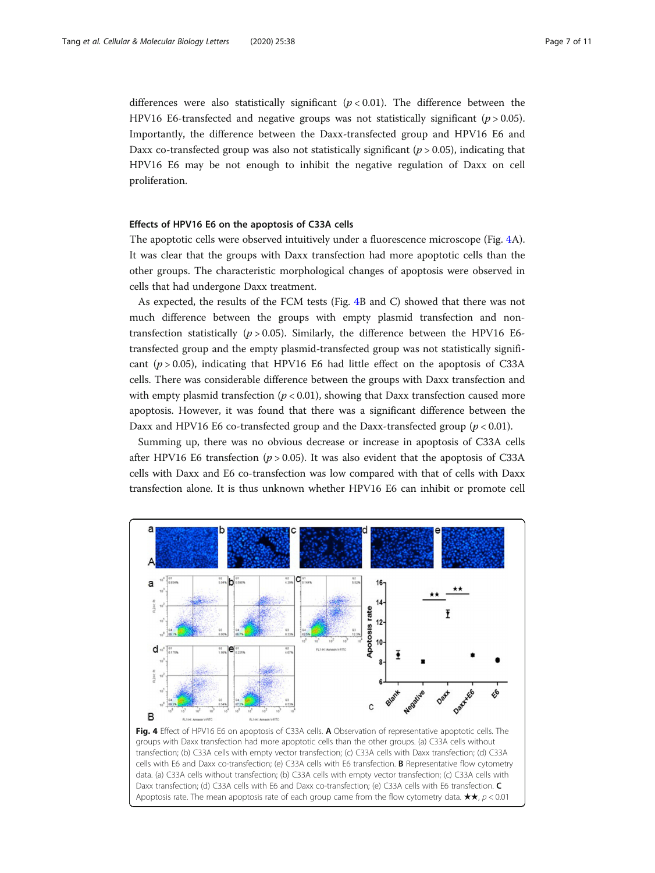differences were also statistically significant  $(p < 0.01)$ . The difference between the HPV16 E6-transfected and negative groups was not statistically significant ( $p > 0.05$ ). Importantly, the difference between the Daxx-transfected group and HPV16 E6 and Daxx co-transfected group was also not statistically significant ( $p > 0.05$ ), indicating that HPV16 E6 may be not enough to inhibit the negative regulation of Daxx on cell proliferation.

# Effects of HPV16 E6 on the apoptosis of C33A cells

The apoptotic cells were observed intuitively under a fluorescence microscope (Fig. 4A). It was clear that the groups with Daxx transfection had more apoptotic cells than the other groups. The characteristic morphological changes of apoptosis were observed in cells that had undergone Daxx treatment.

As expected, the results of the FCM tests (Fig. 4B and C) showed that there was not much difference between the groups with empty plasmid transfection and nontransfection statistically ( $p > 0.05$ ). Similarly, the difference between the HPV16 E6transfected group and the empty plasmid-transfected group was not statistically significant  $(p > 0.05)$ , indicating that HPV16 E6 had little effect on the apoptosis of C33A cells. There was considerable difference between the groups with Daxx transfection and with empty plasmid transfection ( $p < 0.01$ ), showing that Daxx transfection caused more apoptosis. However, it was found that there was a significant difference between the Daxx and HPV16 E6 co-transfected group and the Daxx-transfected group  $(p < 0.01)$ .

Summing up, there was no obvious decrease or increase in apoptosis of C33A cells after HPV16 E6 transfection ( $p > 0.05$ ). It was also evident that the apoptosis of C33A cells with Daxx and E6 co-transfection was low compared with that of cells with Daxx transfection alone. It is thus unknown whether HPV16 E6 can inhibit or promote cell



groups with Daxx transfection had more apoptotic cells than the other groups. (a) C33A cells without transfection; (b) C33A cells with empty vector transfection; (c) C33A cells with Daxx transfection; (d) C33A cells with E6 and Daxx co-transfection; (e) C33A cells with E6 transfection. B Representative flow cytometry data. (a) C33A cells without transfection; (b) C33A cells with empty vector transfection; (c) C33A cells with Daxx transfection; (d) C33A cells with E6 and Daxx co-transfection; (e) C33A cells with E6 transfection. C Apoptosis rate. The mean apoptosis rate of each group came from the flow cytometry data.  $\star\star$ ,  $p < 0.01$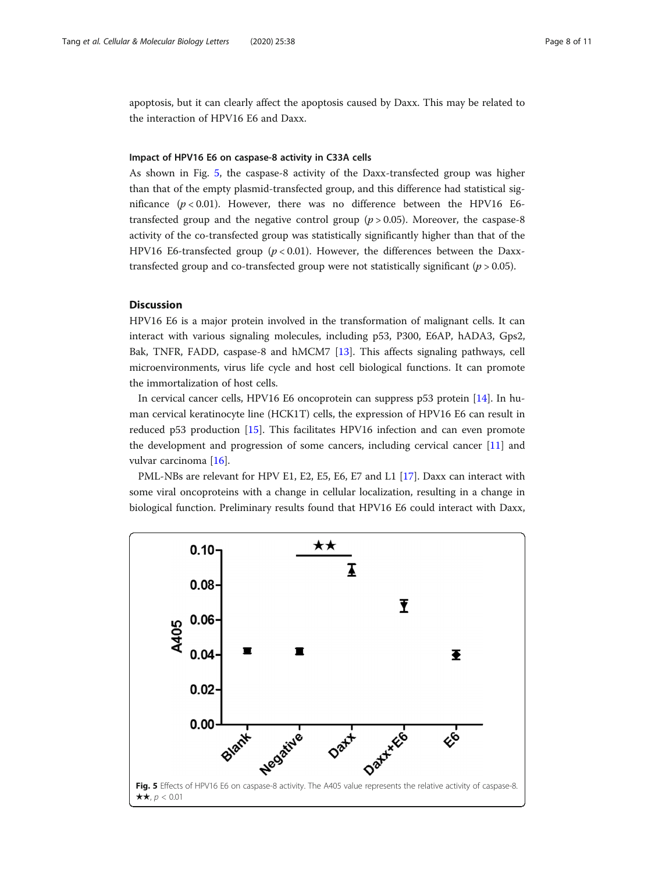apoptosis, but it can clearly affect the apoptosis caused by Daxx. This may be related to the interaction of HPV16 E6 and Daxx.

#### Impact of HPV16 E6 on caspase-8 activity in C33A cells

As shown in Fig. 5, the caspase-8 activity of the Daxx-transfected group was higher than that of the empty plasmid-transfected group, and this difference had statistical significance  $(p < 0.01)$ . However, there was no difference between the HPV16 E6transfected group and the negative control group  $(p > 0.05)$ . Moreover, the caspase-8 activity of the co-transfected group was statistically significantly higher than that of the HPV16 E6-transfected group ( $p < 0.01$ ). However, the differences between the Daxxtransfected group and co-transfected group were not statistically significant ( $p > 0.05$ ).

#### **Discussion**

HPV16 E6 is a major protein involved in the transformation of malignant cells. It can interact with various signaling molecules, including p53, P300, E6AP, hADA3, Gps2, Bak, TNFR, FADD, caspase-8 and hMCM7 [[13\]](#page-10-0). This affects signaling pathways, cell microenvironments, virus life cycle and host cell biological functions. It can promote the immortalization of host cells.

In cervical cancer cells, HPV16 E6 oncoprotein can suppress p53 protein [\[14](#page-10-0)]. In human cervical keratinocyte line (HCK1T) cells, the expression of HPV16 E6 can result in reduced p53 production [[15\]](#page-10-0). This facilitates HPV16 infection and can even promote the development and progression of some cancers, including cervical cancer [[11\]](#page-10-0) and vulvar carcinoma [\[16\]](#page-10-0).

PML-NBs are relevant for HPV E1, E2, E5, E6, E7 and L1 [[17](#page-10-0)]. Daxx can interact with some viral oncoproteins with a change in cellular localization, resulting in a change in biological function. Preliminary results found that HPV16 E6 could interact with Daxx,

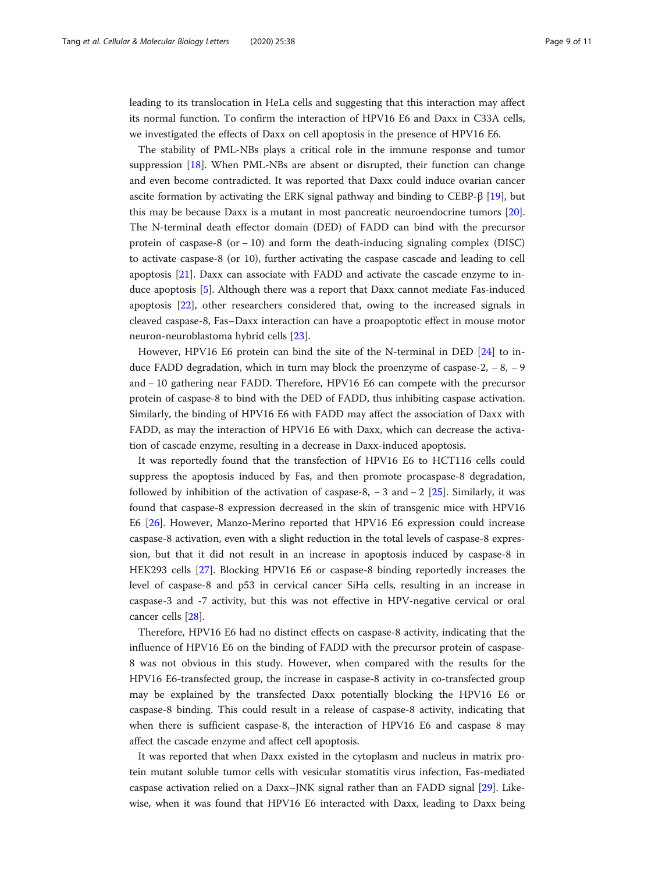leading to its translocation in HeLa cells and suggesting that this interaction may affect its normal function. To confirm the interaction of HPV16 E6 and Daxx in C33A cells, we investigated the effects of Daxx on cell apoptosis in the presence of HPV16 E6.

The stability of PML-NBs plays a critical role in the immune response and tumor suppression [[18\]](#page-10-0). When PML-NBs are absent or disrupted, their function can change and even become contradicted. It was reported that Daxx could induce ovarian cancer ascite formation by activating the ERK signal pathway and binding to CEBP-β [[19\]](#page-10-0), but this may be because Daxx is a mutant in most pancreatic neuroendocrine tumors [[20](#page-10-0)]. The N-terminal death effector domain (DED) of FADD can bind with the precursor protein of caspase-8 (or − 10) and form the death-inducing signaling complex (DISC) to activate caspase-8 (or 10), further activating the caspase cascade and leading to cell apoptosis [[21\]](#page-10-0). Daxx can associate with FADD and activate the cascade enzyme to induce apoptosis [[5\]](#page-9-0). Although there was a report that Daxx cannot mediate Fas-induced apoptosis [\[22\]](#page-10-0), other researchers considered that, owing to the increased signals in cleaved caspase-8, Fas–Daxx interaction can have a proapoptotic effect in mouse motor neuron-neuroblastoma hybrid cells [\[23](#page-10-0)].

However, HPV16 E6 protein can bind the site of the N-terminal in DED [[24](#page-10-0)] to induce FADD degradation, which in turn may block the proenzyme of caspase-2,  $-8$ ,  $-9$ and − 10 gathering near FADD. Therefore, HPV16 E6 can compete with the precursor protein of caspase-8 to bind with the DED of FADD, thus inhibiting caspase activation. Similarly, the binding of HPV16 E6 with FADD may affect the association of Daxx with FADD, as may the interaction of HPV16 E6 with Daxx, which can decrease the activation of cascade enzyme, resulting in a decrease in Daxx-induced apoptosis.

It was reportedly found that the transfection of HPV16 E6 to HCT116 cells could suppress the apoptosis induced by Fas, and then promote procaspase-8 degradation, followed by inhibition of the activation of caspase-8,  $-3$  and  $-2$  [[25\]](#page-10-0). Similarly, it was found that caspase-8 expression decreased in the skin of transgenic mice with HPV16 E6 [\[26](#page-10-0)]. However, Manzo-Merino reported that HPV16 E6 expression could increase caspase-8 activation, even with a slight reduction in the total levels of caspase-8 expression, but that it did not result in an increase in apoptosis induced by caspase-8 in HEK293 cells [[27\]](#page-10-0). Blocking HPV16 E6 or caspase-8 binding reportedly increases the level of caspase-8 and p53 in cervical cancer SiHa cells, resulting in an increase in caspase-3 and -7 activity, but this was not effective in HPV-negative cervical or oral cancer cells [\[28\]](#page-10-0).

Therefore, HPV16 E6 had no distinct effects on caspase-8 activity, indicating that the influence of HPV16 E6 on the binding of FADD with the precursor protein of caspase-8 was not obvious in this study. However, when compared with the results for the HPV16 E6-transfected group, the increase in caspase-8 activity in co-transfected group may be explained by the transfected Daxx potentially blocking the HPV16 E6 or caspase-8 binding. This could result in a release of caspase-8 activity, indicating that when there is sufficient caspase-8, the interaction of HPV16 E6 and caspase 8 may affect the cascade enzyme and affect cell apoptosis.

It was reported that when Daxx existed in the cytoplasm and nucleus in matrix protein mutant soluble tumor cells with vesicular stomatitis virus infection, Fas-mediated caspase activation relied on a Daxx–JNK signal rather than an FADD signal [\[29](#page-10-0)]. Likewise, when it was found that HPV16 E6 interacted with Daxx, leading to Daxx being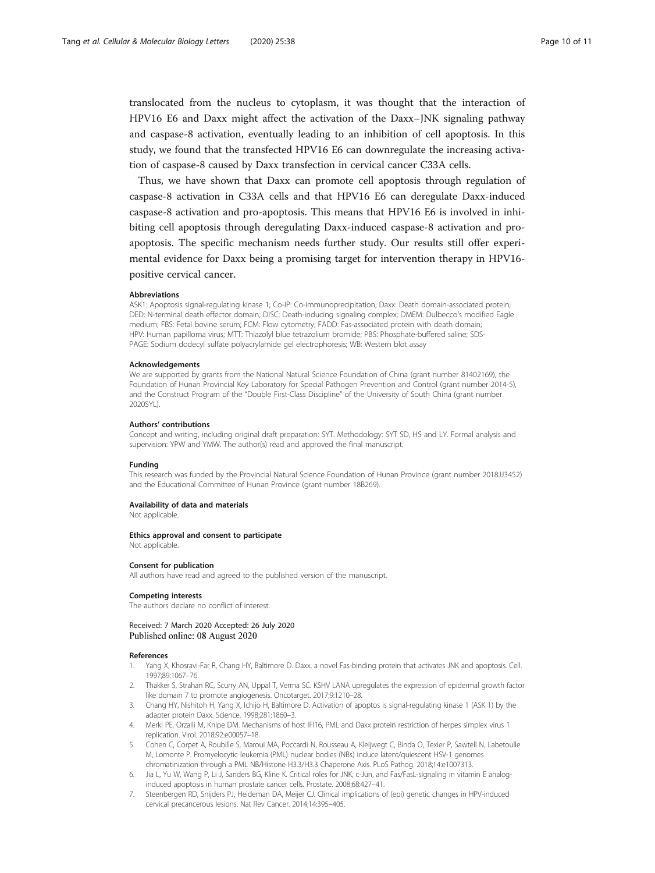<span id="page-9-0"></span>translocated from the nucleus to cytoplasm, it was thought that the interaction of HPV16 E6 and Daxx might affect the activation of the Daxx–JNK signaling pathway and caspase-8 activation, eventually leading to an inhibition of cell apoptosis. In this study, we found that the transfected HPV16 E6 can downregulate the increasing activation of caspase-8 caused by Daxx transfection in cervical cancer C33A cells.

Thus, we have shown that Daxx can promote cell apoptosis through regulation of caspase-8 activation in C33A cells and that HPV16 E6 can deregulate Daxx-induced caspase-8 activation and pro-apoptosis. This means that HPV16 E6 is involved in inhibiting cell apoptosis through deregulating Daxx-induced caspase-8 activation and proapoptosis. The specific mechanism needs further study. Our results still offer experimental evidence for Daxx being a promising target for intervention therapy in HPV16 positive cervical cancer.

#### **Abbreviations**

ASK1: Apoptosis signal-regulating kinase 1; Co-IP: Co-immunoprecipitation; Daxx: Death domain-associated protein; DED: N-terminal death effector domain; DISC: Death-inducing signaling complex; DMEM: Dulbecco's modified Eagle medium; FBS: Fetal bovine serum; FCM: Flow cytometry; FADD: Fas-associated protein with death domain; HPV: Human papilloma virus; MTT: Thiazolyl blue tetrazolium bromide; PBS: Phosphate-buffered saline; SDS-PAGE: Sodium dodecyl sulfate polyacrylamide gel electrophoresis; WB: Western blot assay

#### Acknowledgements

We are supported by grants from the National Natural Science Foundation of China (grant number 81402169), the Foundation of Hunan Provincial Key Laboratory for Special Pathogen Prevention and Control (grant number 2014-5), and the Construct Program of the "Double First-Class Discipline" of the University of South China (grant number 2020SYL).

#### Authors' contributions

Concept and writing, including original draft preparation: SYT. Methodology: SYT SD, HS and LY. Formal analysis and supervision: YPW and YMW. The author(s) read and approved the final manuscript.

#### Funding

This research was funded by the Provincial Natural Science Foundation of Hunan Province (grant number 2018JJ3452) and the Educational Committee of Hunan Province (grant number 18B269).

#### Availability of data and materials

Not applicable.

#### Ethics approval and consent to participate

Not applicable.

#### Consent for publication

All authors have read and agreed to the published version of the manuscript.

#### Competing interests

The authors declare no conflict of interest.

Received: 7 March 2020 Accepted: 26 July 2020 Published online: 08 August 2020

#### References

- 1. Yang X, Khosravi-Far R, Chang HY, Baltimore D. Daxx, a novel Fas-binding protein that activates JNK and apoptosis. Cell. 1997;89:1067–76.
- 2. Thakker S, Strahan RC, Scurry AN, Uppal T, Verma SC. KSHV LANA upregulates the expression of epidermal growth factor like domain 7 to promote angiogenesis. Oncotarget. 2017;9:1210–28.
- 3. Chang HY, Nishitoh H, Yang X, Ichijo H, Baltimore D. Activation of apoptos is signal-regulating kinase 1 (ASK 1) by the adapter protein Daxx. Science. 1998;281:1860–3.
- 4. Merkl PE, Orzalli M, Knipe DM. Mechanisms of host IFI16, PML and Daxx protein restriction of herpes simplex virus 1 replication. Virol. 2018;92:e00057–18.
- 5. Cohen C, Corpet A, Roubille S, Maroui MA, Poccardi N, Rousseau A, Kleijwegt C, Binda O, Texier P, Sawtell N, Labetoulle M, Lomonte P. Promyelocytic leukemia (PML) nuclear bodies (NBs) induce latent/quiescent HSV-1 genomes chromatinization through a PML NB/Histone H3.3/H3.3 Chaperone Axis. PLoS Pathog. 2018;14:e1007313.
- 6. Jia L, Yu W, Wang P, Li J, Sanders BG, Kline K. Critical roles for JNK, c-Jun, and Fas/FasL-signaling in vitamin E analoginduced apoptosis in human prostate cancer cells. Prostate. 2008;68:427–41.
- 7. Steenbergen RD, Snijders PJ, Heideman DA, Meijer CJ. Clinical implications of (epi) genetic changes in HPV-induced cervical precancerous lesions. Nat Rev Cancer. 2014;14:395–405.